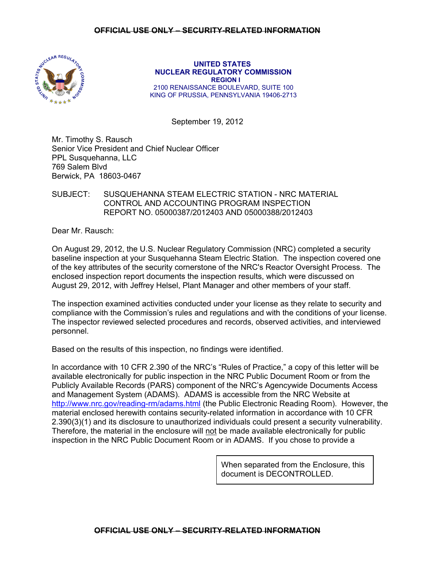

 **UNITED STATES NUCLEAR REGULATORY COMMISSION REGION I**  2100 RENAISSANCE BOULEVARD, SUITE 100 KING OF PRUSSIA, PENNSYLVANIA 19406-2713

September 19, 2012

Mr. Timothy S. Rausch Senior Vice President and Chief Nuclear Officer PPL Susquehanna, LLC 769 Salem Blvd Berwick, PA 18603-0467

# SUBJECT: SUSQUEHANNA STEAM ELECTRIC STATION - NRC MATERIAL CONTROL AND ACCOUNTING PROGRAM INSPECTION REPORT NO. 05000387/2012403 AND 05000388/2012403

Dear Mr. Rausch:

On August 29, 2012, the U.S. Nuclear Regulatory Commission (NRC) completed a security baseline inspection at your Susquehanna Steam Electric Station. The inspection covered one of the key attributes of the security cornerstone of the NRC's Reactor Oversight Process. The enclosed inspection report documents the inspection results, which were discussed on August 29, 2012, with Jeffrey Helsel, Plant Manager and other members of your staff.

The inspection examined activities conducted under your license as they relate to security and compliance with the Commission's rules and regulations and with the conditions of your license. The inspector reviewed selected procedures and records, observed activities, and interviewed personnel.

Based on the results of this inspection, no findings were identified.

In accordance with 10 CFR 2.390 of the NRC's "Rules of Practice," a copy of this letter will be available electronically for public inspection in the NRC Public Document Room or from the Publicly Available Records (PARS) component of the NRC's Agencywide Documents Access and Management System (ADAMS). ADAMS is accessible from the NRC Website at http://www.nrc.gov/reading-rm/adams.html (the Public Electronic Reading Room). However, the material enclosed herewith contains security-related information in accordance with 10 CFR 2.390(3)(1) and its disclosure to unauthorized individuals could present a security vulnerability. Therefore, the material in the enclosure will not be made available electronically for public inspection in the NRC Public Document Room or in ADAMS. If you chose to provide a

> When separated from the Enclosure, this document is DECONTROLLED.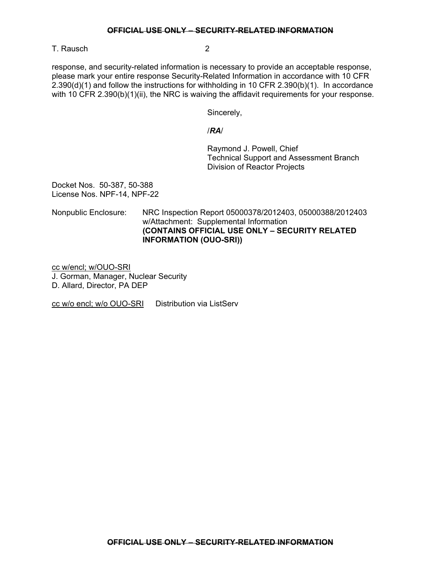#### **OFFICIAL USE ONLY – SECURITY-RELATED INFORMATION**

T. Rausch 2

response, and security-related information is necessary to provide an acceptable response, please mark your entire response Security-Related Information in accordance with 10 CFR 2.390(d)(1) and follow the instructions for withholding in 10 CFR 2.390(b)(1). In accordance with 10 CFR 2.390(b)(1)(ii), the NRC is waiving the affidavit requirements for your response.

Sincerely,

### /*RA*/

 Raymond J. Powell, Chief Technical Support and Assessment Branch Division of Reactor Projects

Docket Nos. 50-387, 50-388 License Nos. NPF-14, NPF-22

Nonpublic Enclosure: NRC Inspection Report 05000378/2012403, 05000388/2012403 w/Attachment: Supplemental Information **(CONTAINS OFFICIAL USE ONLY – SECURITY RELATED INFORMATION (OUO-SRI))**

cc w/encl; w/OUO-SRI J. Gorman, Manager, Nuclear Security D. Allard, Director, PA DEP

cc w/o encl; w/o OUO-SRI Distribution via ListServ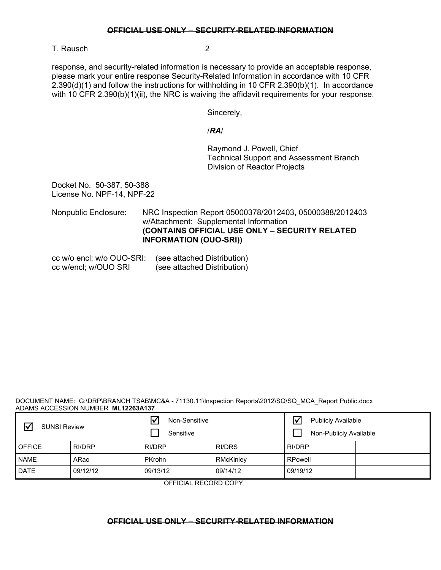#### **OFFICIAL USE ONLY – SECURITY-RELATED INFORMATION**

T. Rausch 2

response, and security-related information is necessary to provide an acceptable response, please mark your entire response Security-Related Information in accordance with 10 CFR 2.390(d)(1) and follow the instructions for withholding in 10 CFR 2.390(b)(1). In accordance with 10 CFR 2.390(b)(1)(ii), the NRC is waiving the affidavit requirements for your response.

Sincerely,

## /*RA*/

 Raymond J. Powell, Chief Technical Support and Assessment Branch Division of Reactor Projects

Docket No. 50-387, 50-388 License No. NPF-14, NPF-22

Nonpublic Enclosure: NRC Inspection Report 05000378/2012403, 05000388/2012403 w/Attachment: Supplemental Information **(CONTAINS OFFICIAL USE ONLY – SECURITY RELATED INFORMATION (OUO-SRI))**

cc w/o encl; w/o OUO-SRI: (see attached Distribution) cc w/encl; w/OUO SRI (see attached Distribution)

DOCUMENT NAME: G:\DRP\BRANCH TSAB\MC&A - 71130.11\Inspection Reports\2012\SQ\SQ\_MCA\_Report Public.docx ADAMS ACCESSION NUMBER **ML12263A137** 

| ☑<br><b>SUNSI Review</b> |          | Non-Sensitive<br>Sensitive |           | $\triangledown$<br><b>Publicly Available</b><br>Non-Publicly Available |  |
|--------------------------|----------|----------------------------|-----------|------------------------------------------------------------------------|--|
| <b>OFFICE</b>            | RI/DRP   | RI/DRP                     | RI/DRS    | RI/DRP                                                                 |  |
| <b>NAME</b>              | ARao     | <b>PKrohn</b>              | RMcKinley | RPowell                                                                |  |
| <b>DATE</b>              | 09/12/12 | 09/13/12                   | 09/14/12  | 09/19/12                                                               |  |

OFFICIAL RECORD COPY

## **OFFICIAL USE ONLY – SECURITY-RELATED INFORMATION**